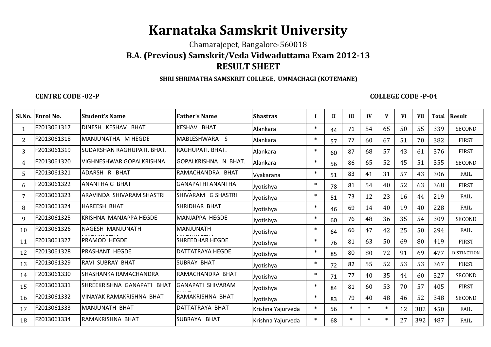# **Karnataka Samskrit University**

Chamarajepet, Bangalore-560018

# **B.A. (Previous) Samskrit/Veda Vidwaduttama Exam 2012-13RESULT SHEET**

#### **SHRI SHRIMATHA SAMSKRIT COLLEGE, UMMACHAGI (KOTEMANE)**

### **CENTRE CODE -02-P**

## **COLLEGE CODE -P-04**

|                | Sl.No. Enrol No. | <b>Student's Name</b>      | <b>Father's Name</b>     | <b>Shastras</b>   |        | $\mathbf{I}$ | III    | IV     | V      | <b>VI</b> | <b>VII</b> | <b>Total</b> | <b>Result</b>      |
|----------------|------------------|----------------------------|--------------------------|-------------------|--------|--------------|--------|--------|--------|-----------|------------|--------------|--------------------|
|                | F2013061317      | DINESH KESHAV BHAT         | <b>KESHAV BHAT</b>       | Alankara          | $\ast$ | 44           | 71     | 54     | 65     | 50        | 55         | 339          | <b>SECOND</b>      |
| $\overline{2}$ | F2013061318      | MANJUNATHA M HEGDE         | MABLESHWARA S            | Alankara          | $\ast$ | 57           | 77     | 60     | 67     | 51        | 70         | 382          | <b>FIRST</b>       |
| 3              | F2013061319      | SUDARSHAN RAGHUPATI, BHAT. | RAGHUPATI. BHAT.         | Alankara          | $\ast$ | 60           | 87     | 68     | 57     | 43        | 61         | 376          | <b>FIRST</b>       |
| 4              | F2013061320      | VIGHNESHWAR GOPALKRISHNA   | GOPALKRISHNA N BHAT.     | Alankara          | $\ast$ | 56           | 86     | 65     | 52     | 45        | 51         | 355          | <b>SECOND</b>      |
| 5.             | F2013061321      | ADARSH R BHAT              | RAMACHANDRA BHAT         | Vyakarana         | $\ast$ | 51           | 83     | 41     | 31     | 57        | 43         | 306          | FAIL               |
| 6              | F2013061322      | ANANTHA G BHAT             | <b>GANAPATHI ANANTHA</b> | Jyotishya         | $\ast$ | 78           | 81     | 54     | 40     | 52        | 63         | 368          | <b>FIRST</b>       |
|                | F2013061323      | ARAVINDA SHIVARAM SHASTRI  | SHIVARAM G SHASTRI       | Jyotishya         | $\ast$ | 51           | 73     | 12     | 23     | 16        | 44         | 219          | FAIL               |
| 8              | F2013061324      | <b>HAREESH BHAT</b>        | <b>SHRIDHAR BHAT</b>     | Jyotishya         | $\ast$ | 46           | 69     | 14     | 40     | 19        | 40         | 228          | FAIL               |
| q              | F2013061325      | KRISHNA MANJAPPA HEGDE     | MANJAPPA HEGDE           | Jyotishya         | $\ast$ | 60           | 76     | 48     | 36     | 35        | 54         | 309          | <b>SECOND</b>      |
| 10             | F2013061326      | NAGESH MANJUNATH           | MANJUNATH                | Jyotishya         | $\ast$ | 64           | 66     | 47     | 42     | 25        | 50         | 294          | FAIL               |
| 11             | F2013061327      | PRAMOD HEGDE               | <b>SHREEDHAR HEGDE</b>   | Jyotishya         | $\ast$ | 76           | 81     | 63     | 50     | 69        | 80         | 419          | <b>FIRST</b>       |
| 12             | F2013061328      | PRASHANT HEGDE             | <b>DATTATRAYA HEGDE</b>  | Jyotishya         | $\ast$ | 85           | 80     | 80     | 72     | 91        | 69         | 477          | <b>DISTINCTION</b> |
| 13             | F2013061329      | RAVI SUBRAY BHAT           | <b>SUBRAY BHAT</b>       | Jyotishya         | $\ast$ | 72           | 82     | 55     | 52     | 53        | 53         | 367          | <b>FIRST</b>       |
| 14             | F2013061330      | SHASHANKA RAMACHANDRA      | RAMACHANDRA BHAT         | Jyotishya         | $\ast$ | 71           | 77     | 40     | 35     | 44        | 60         | 327          | <b>SECOND</b>      |
| 15             | F2013061331      | SHREEKRISHNA GANAPATI BHAT | GANAPATI SHIVARAM        | Jyotishya         | $\ast$ | 84           | 81     | 60     | 53     | 70        | 57         | 405          | <b>FIRST</b>       |
| 16             | F2013061332      | VINAYAK RAMAKRISHNA BHAT   | RAMAKRISHNA BHAT         | Jyotishya         | $\ast$ | 83           | 79     | 40     | 48     | 46        | 52         | 348          | <b>SECOND</b>      |
| 17             | F2013061333      | <b>MANJUNATH BHAT</b>      | DATTATRAYA BHAT          | Krishna Yajurveda | $\ast$ | 56           | $\ast$ | $\ast$ | $\ast$ | 12        | 382        | 450          | FAIL               |
| 18             | F2013061334      | RAMAKRISHNA BHAT           | SUBRAYA BHAT             | Krishna Yajurveda | $\ast$ | 68           | $\ast$ | $\ast$ | $\ast$ | 27        | 392        | 487          | FAIL               |